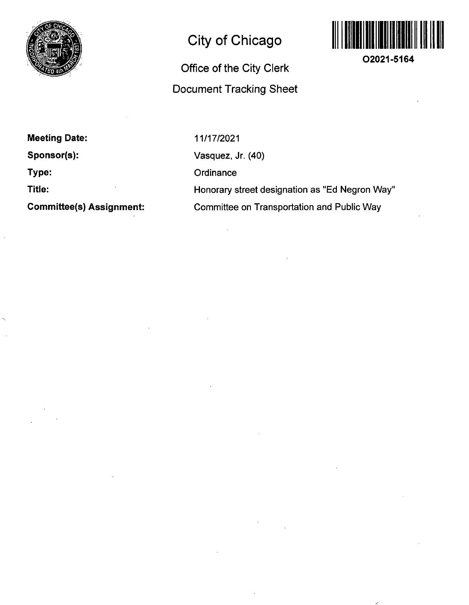

## **City of Chicago**

## **Office of the City Clerk Document Tracking Sheet**



**02021-5164** 

**Meeting Date: Sponsor(s): Type:** 

**Title:** 

**Committee(s) Assignment:** 

11/17/2021 Vasquez, Jr. (40) **Ordinance** Honorary street designation as "Ed Negron Way" Committee on Transportation and Public Way